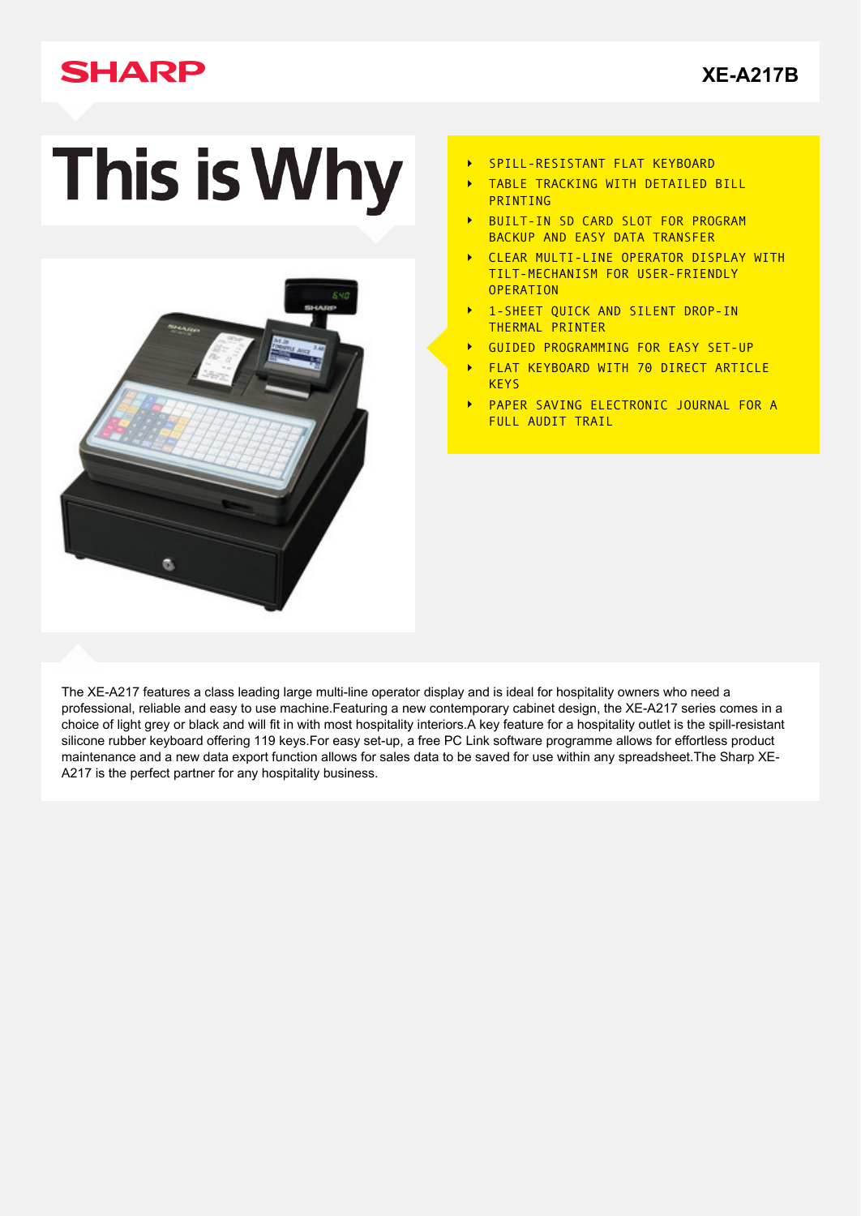# **SHARP**

# This is Why



- SPILL-RESISTANT FLAT KEYBOARD  $\blacktriangleright$
- TABLE TRACKING WITH DETAILED BILL **PRINTING**
- BUILT-IN SD CARD SLOT FOR PROGRAM  $\overline{\phantom{a}}$ BACKUP AND EASY DATA TRANSFER
- CLEAR MULTI-LINE OPERATOR DISPLAY WITH TILT-MECHANISM FOR USER-FRIENDLY **OPERATION**
- 1-SHEET QUICK AND SILENT DROP-IN  $\overline{\phantom{a}}$ THERMAL PRINTER
- GUIDED PROGRAMMING FOR EASY SET-UP  $\ddot{\phantom{1}}$
- FLAT KEYBOARD WITH 70 DIRECT ARTICLE  $\ddot{\phantom{1}}$ **KEYS**
- PAPER SAVING ELECTRONIC JOURNAL FOR A  $\mathbf{r}$ FULL AUDIT TRAIL

The XE-A217 features a class leading large multi-line operator display and is ideal for hospitality owners who need a professional, reliable and easy to use machine.Featuring a new contemporary cabinet design, the XE-A217 series comes in a choice of light grey or black and will fit in with most hospitality interiors.A key feature for a hospitality outlet is the spill-resistant silicone rubber keyboard offering 119 keys.For easy set-up, a free PC Link software programme allows for effortless product maintenance and a new data export function allows for sales data to be saved for use within any spreadsheet.The Sharp XE-A217 is the perfect partner for any hospitality business.